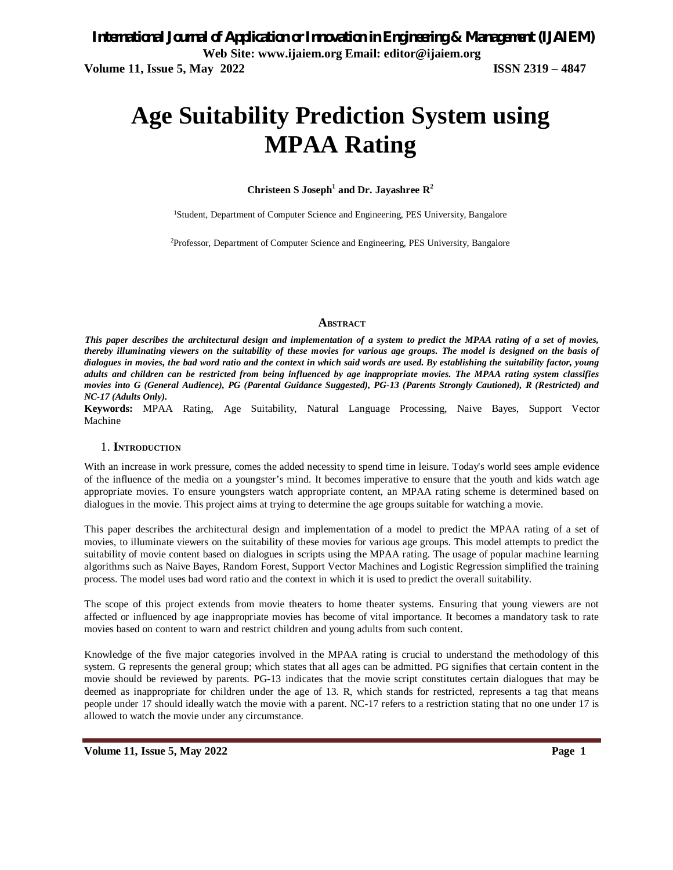# **Age Suitability Prediction System using MPAA Rating**

**Christeen S Joseph<sup>1</sup> and Dr. Jayashree R<sup>2</sup>**

<sup>1</sup>Student, Department of Computer Science and Engineering, PES University, Bangalore

<sup>2</sup>Professor, Department of Computer Science and Engineering, PES University, Bangalore

#### **ABSTRACT**

*This paper describes the architectural design and implementation of a system to predict the MPAA rating of a set of movies, thereby illuminating viewers on the suitability of these movies for various age groups. The model is designed on the basis of dialogues in movies, the bad word ratio and the context in which said words are used. By establishing the suitability factor, young adults and children can be restricted from being influenced by age inappropriate movies. The MPAA rating system classifies movies into G (General Audience), PG (Parental Guidance Suggested), PG-13 (Parents Strongly Cautioned), R (Restricted) and NC-17 (Adults Only).* 

**Keywords:** MPAA Rating, Age Suitability, Natural Language Processing, Naive Bayes, Support Vector Machine

#### 1. **INTRODUCTION**

With an increase in work pressure, comes the added necessity to spend time in leisure. Today's world sees ample evidence of the influence of the media on a youngster's mind. It becomes imperative to ensure that the youth and kids watch age appropriate movies. To ensure youngsters watch appropriate content, an MPAA rating scheme is determined based on dialogues in the movie. This project aims at trying to determine the age groups suitable for watching a movie.

This paper describes the architectural design and implementation of a model to predict the MPAA rating of a set of movies, to illuminate viewers on the suitability of these movies for various age groups. This model attempts to predict the suitability of movie content based on dialogues in scripts using the MPAA rating. The usage of popular machine learning algorithms such as Naive Bayes, Random Forest, Support Vector Machines and Logistic Regression simplified the training process. The model uses bad word ratio and the context in which it is used to predict the overall suitability.

The scope of this project extends from movie theaters to home theater systems. Ensuring that young viewers are not affected or influenced by age inappropriate movies has become of vital importance. It becomes a mandatory task to rate movies based on content to warn and restrict children and young adults from such content.

Knowledge of the five major categories involved in the MPAA rating is crucial to understand the methodology of this system. G represents the general group; which states that all ages can be admitted. PG signifies that certain content in the movie should be reviewed by parents. PG-13 indicates that the movie script constitutes certain dialogues that may be deemed as inappropriate for children under the age of 13. R, which stands for restricted, represents a tag that means people under 17 should ideally watch the movie with a parent. NC-17 refers to a restriction stating that no one under 17 is allowed to watch the movie under any circumstance.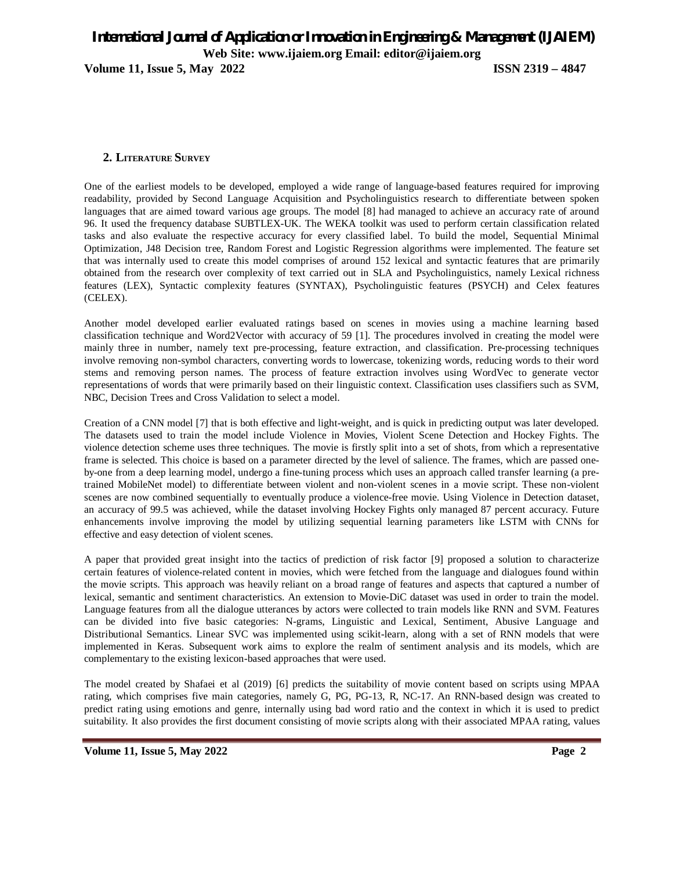**Volume 11, Issue 5, May 2022 ISSN 2319 – 4847**

#### **2. LITERATURE SURVEY**

One of the earliest models to be developed, employed a wide range of language-based features required for improving readability, provided by Second Language Acquisition and Psycholinguistics research to differentiate between spoken languages that are aimed toward various age groups. The model [8] had managed to achieve an accuracy rate of around 96. It used the frequency database SUBTLEX-UK. The WEKA toolkit was used to perform certain classification related tasks and also evaluate the respective accuracy for every classified label. To build the model, Sequential Minimal Optimization, J48 Decision tree, Random Forest and Logistic Regression algorithms were implemented. The feature set that was internally used to create this model comprises of around 152 lexical and syntactic features that are primarily obtained from the research over complexity of text carried out in SLA and Psycholinguistics, namely Lexical richness features (LEX), Syntactic complexity features (SYNTAX), Psycholinguistic features (PSYCH) and Celex features (CELEX).

Another model developed earlier evaluated ratings based on scenes in movies using a machine learning based classification technique and Word2Vector with accuracy of 59 [1]. The procedures involved in creating the model were mainly three in number, namely text pre-processing, feature extraction, and classification. Pre-processing techniques involve removing non-symbol characters, converting words to lowercase, tokenizing words, reducing words to their word stems and removing person names. The process of feature extraction involves using WordVec to generate vector representations of words that were primarily based on their linguistic context. Classification uses classifiers such as SVM, NBC, Decision Trees and Cross Validation to select a model.

Creation of a CNN model [7] that is both effective and light-weight, and is quick in predicting output was later developed. The datasets used to train the model include Violence in Movies, Violent Scene Detection and Hockey Fights. The violence detection scheme uses three techniques. The movie is firstly split into a set of shots, from which a representative frame is selected. This choice is based on a parameter directed by the level of salience. The frames, which are passed oneby-one from a deep learning model, undergo a fine-tuning process which uses an approach called transfer learning (a pretrained MobileNet model) to differentiate between violent and non-violent scenes in a movie script. These non-violent scenes are now combined sequentially to eventually produce a violence-free movie. Using Violence in Detection dataset, an accuracy of 99.5 was achieved, while the dataset involving Hockey Fights only managed 87 percent accuracy. Future enhancements involve improving the model by utilizing sequential learning parameters like LSTM with CNNs for effective and easy detection of violent scenes.

A paper that provided great insight into the tactics of prediction of risk factor [9] proposed a solution to characterize certain features of violence-related content in movies, which were fetched from the language and dialogues found within the movie scripts. This approach was heavily reliant on a broad range of features and aspects that captured a number of lexical, semantic and sentiment characteristics. An extension to Movie-DiC dataset was used in order to train the model. Language features from all the dialogue utterances by actors were collected to train models like RNN and SVM. Features can be divided into five basic categories: N-grams, Linguistic and Lexical, Sentiment, Abusive Language and Distributional Semantics. Linear SVC was implemented using scikit-learn, along with a set of RNN models that were implemented in Keras. Subsequent work aims to explore the realm of sentiment analysis and its models, which are complementary to the existing lexicon-based approaches that were used.

The model created by Shafaei et al (2019) [6] predicts the suitability of movie content based on scripts using MPAA rating, which comprises five main categories, namely G, PG, PG-13, R, NC-17. An RNN-based design was created to predict rating using emotions and genre, internally using bad word ratio and the context in which it is used to predict suitability. It also provides the first document consisting of movie scripts along with their associated MPAA rating, values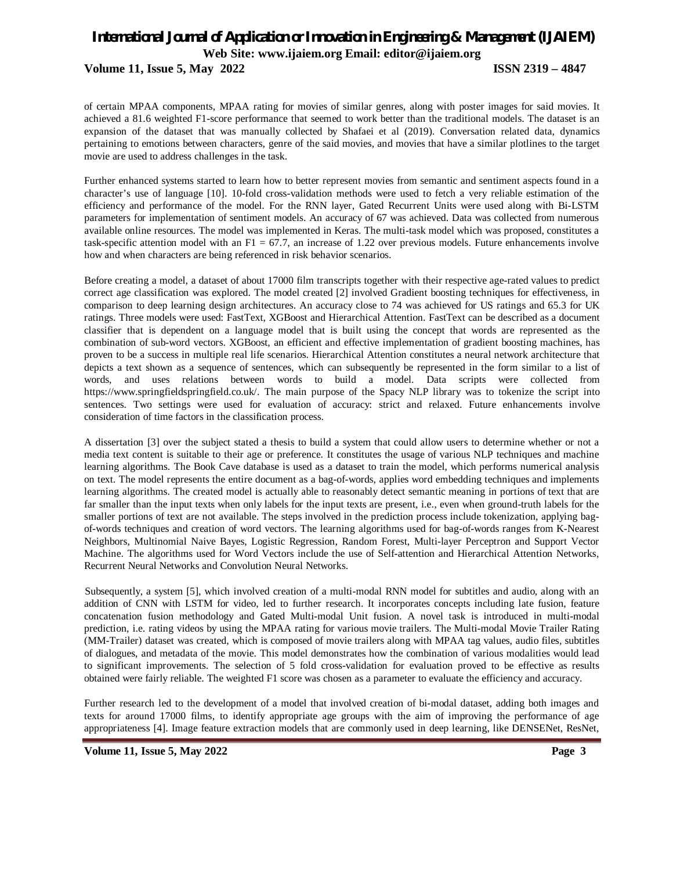of certain MPAA components, MPAA rating for movies of similar genres, along with poster images for said movies. It achieved a 81.6 weighted F1-score performance that seemed to work better than the traditional models. The dataset is an expansion of the dataset that was manually collected by Shafaei et al (2019). Conversation related data, dynamics pertaining to emotions between characters, genre of the said movies, and movies that have a similar plotlines to the target movie are used to address challenges in the task.

Further enhanced systems started to learn how to better represent movies from semantic and sentiment aspects found in a character's use of language [10]. 10-fold cross-validation methods were used to fetch a very reliable estimation of the efficiency and performance of the model. For the RNN layer, Gated Recurrent Units were used along with Bi-LSTM parameters for implementation of sentiment models. An accuracy of 67 was achieved. Data was collected from numerous available online resources. The model was implemented in Keras. The multi-task model which was proposed, constitutes a task-specific attention model with an  $F1 = 67.7$ , an increase of 1.22 over previous models. Future enhancements involve how and when characters are being referenced in risk behavior scenarios.

Before creating a model, a dataset of about 17000 film transcripts together with their respective age-rated values to predict correct age classification was explored. The model created [2] involved Gradient boosting techniques for effectiveness, in comparison to deep learning design architectures. An accuracy close to 74 was achieved for US ratings and 65.3 for UK ratings. Three models were used: FastText, XGBoost and Hierarchical Attention. FastText can be described as a document classifier that is dependent on a language model that is built using the concept that words are represented as the combination of sub-word vectors. XGBoost, an efficient and effective implementation of gradient boosting machines, has proven to be a success in multiple real life scenarios. Hierarchical Attention constitutes a neural network architecture that depicts a text shown as a sequence of sentences, which can subsequently be represented in the form similar to a list of words, and uses relations between words to build a model. Data scripts were collected from https://www.springfieldspringfield.co.uk/. The main purpose of the Spacy NLP library was to tokenize the script into sentences. Two settings were used for evaluation of accuracy: strict and relaxed. Future enhancements involve consideration of time factors in the classification process.

A dissertation [3] over the subject stated a thesis to build a system that could allow users to determine whether or not a media text content is suitable to their age or preference. It constitutes the usage of various NLP techniques and machine learning algorithms. The Book Cave database is used as a dataset to train the model, which performs numerical analysis on text. The model represents the entire document as a bag-of-words, applies word embedding techniques and implements learning algorithms. The created model is actually able to reasonably detect semantic meaning in portions of text that are far smaller than the input texts when only labels for the input texts are present, i.e., even when ground-truth labels for the smaller portions of text are not available. The steps involved in the prediction process include tokenization, applying bagof-words techniques and creation of word vectors. The learning algorithms used for bag-of-words ranges from K-Nearest Neighbors, Multinomial Naive Bayes, Logistic Regression, Random Forest, Multi-layer Perceptron and Support Vector Machine. The algorithms used for Word Vectors include the use of Self-attention and Hierarchical Attention Networks, Recurrent Neural Networks and Convolution Neural Networks.

Subsequently, a system [5], which involved creation of a multi-modal RNN model for subtitles and audio, along with an addition of CNN with LSTM for video, led to further research. It incorporates concepts including late fusion, feature concatenation fusion methodology and Gated Multi-modal Unit fusion. A novel task is introduced in multi-modal prediction, i.e. rating videos by using the MPAA rating for various movie trailers. The Multi-modal Movie Trailer Rating (MM-Trailer) dataset was created, which is composed of movie trailers along with MPAA tag values, audio files, subtitles of dialogues, and metadata of the movie. This model demonstrates how the combination of various modalities would lead to significant improvements. The selection of 5 fold cross-validation for evaluation proved to be effective as results obtained were fairly reliable. The weighted F1 score was chosen as a parameter to evaluate the efficiency and accuracy.

Further research led to the development of a model that involved creation of bi-modal dataset, adding both images and texts for around 17000 films, to identify appropriate age groups with the aim of improving the performance of age appropriateness [4]. Image feature extraction models that are commonly used in deep learning, like DENSENet, ResNet,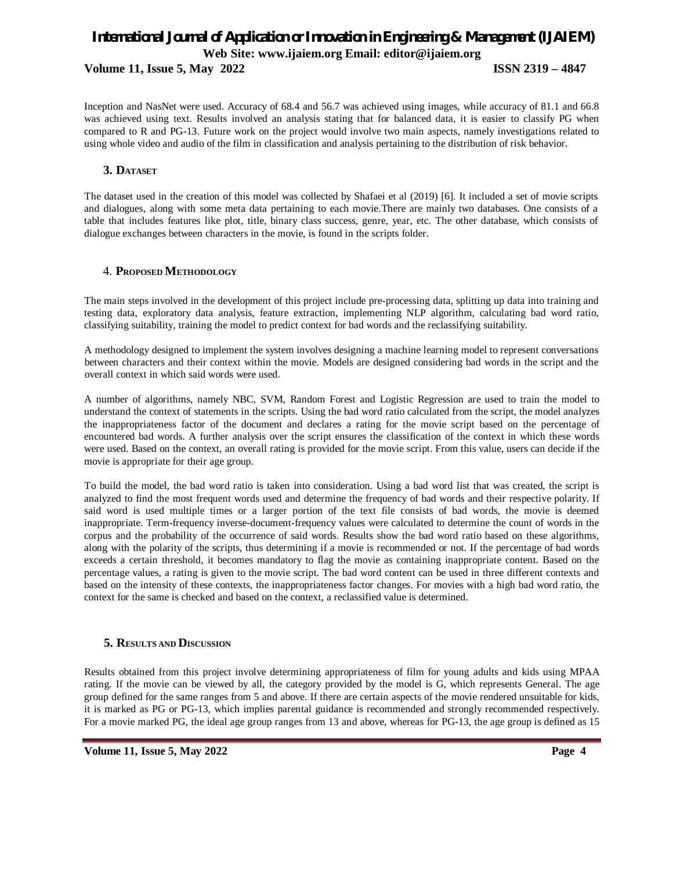Inception and NasNet were used. Accuracy of 68.4 and 56.7 was achieved using images, while accuracy of 81.1 and 66.8 was achieved using text. Results involved an analysis stating that for balanced data, it is easier to classify PG when compared to R and PG-13. Future work on the project would involve two main aspects, namely investigations related to using whole video and audio of the film in classification and analysis pertaining to the distribution of risk behavior.

## **3. DATASET**

The dataset used in the creation of this model was collected by Shafaei et al (2019) [6]. It included a set of movie scripts and dialogues, along with some meta data pertaining to each movie.There are mainly two databases. One consists of a table that includes features like plot, title, binary class success, genre, year, etc. The other database, which consists of dialogue exchanges between characters in the movie, is found in the scripts folder.

## 4. **PROPOSED METHODOLOGY**

The main steps involved in the development of this project include pre-processing data, splitting up data into training and testing data, exploratory data analysis, feature extraction, implementing NLP algorithm, calculating bad word ratio, classifying suitability, training the model to predict context for bad words and the reclassifying suitability.

A methodology designed to implement the system involves designing a machine learning model to represent conversations between characters and their context within the movie. Models are designed considering bad words in the script and the overall context in which said words were used.

A number of algorithms, namely NBC, SVM, Random Forest and Logistic Regression are used to train the model to understand the context of statements in the scripts. Using the bad word ratio calculated from the script, the model analyzes the inappropriateness factor of the document and declares a rating for the movie script based on the percentage of encountered bad words. A further analysis over the script ensures the classification of the context in which these words were used. Based on the context, an overall rating is provided for the movie script. From this value, users can decide if the movie is appropriate for their age group.

To build the model, the bad word ratio is taken into consideration. Using a bad word list that was created, the script is analyzed to find the most frequent words used and determine the frequency of bad words and their respective polarity. If said word is used multiple times or a larger portion of the text file consists of bad words, the movie is deemed inappropriate. Term-frequency inverse-document-frequency values were calculated to determine the count of words in the corpus and the probability of the occurrence of said words. Results show the bad word ratio based on these algorithms, along with the polarity of the scripts, thus determining if a movie is recommended or not. If the percentage of bad words exceeds a certain threshold, it becomes mandatory to flag the movie as containing inappropriate content. Based on the percentage values, a rating is given to the movie script. The bad word content can be used in three different contexts and based on the intensity of these contexts, the inappropriateness factor changes. For movies with a high bad word ratio, the context for the same is checked and based on the context, a reclassified value is determined.

## **5. RESULTS AND DISCUSSION**

Results obtained from this project involve determining appropriateness of film for young adults and kids using MPAA rating. If the movie can be viewed by all, the category provided by the model is G, which represents General. The age group defined for the same ranges from 5 and above. If there are certain aspects of the movie rendered unsuitable for kids, it is marked as PG or PG-13, which implies parental guidance is recommended and strongly recommended respectively. For a movie marked PG, the ideal age group ranges from 13 and above, whereas for PG-13, the age group is defined as 15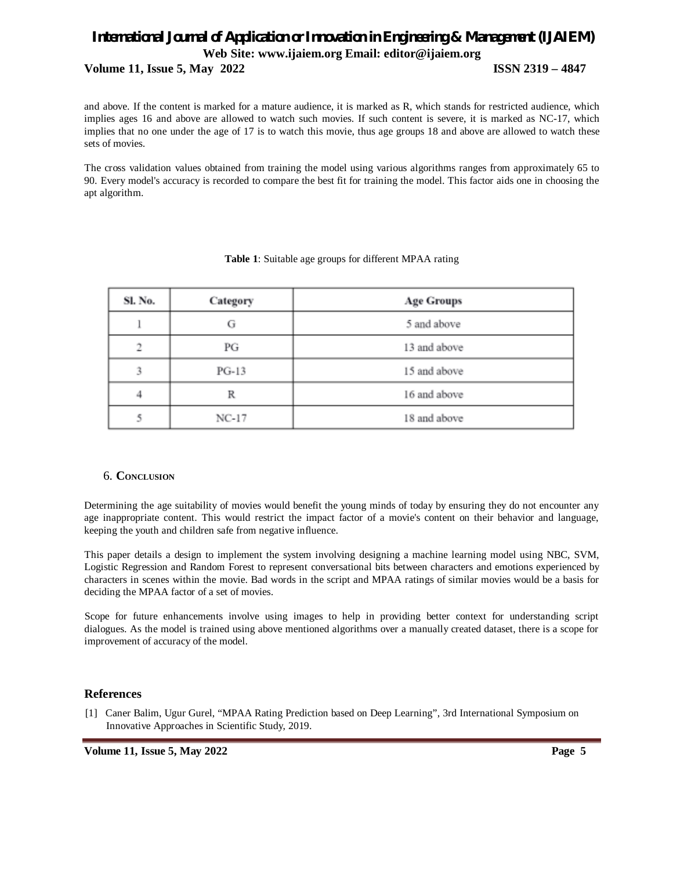and above. If the content is marked for a mature audience, it is marked as R, which stands for restricted audience, which implies ages 16 and above are allowed to watch such movies. If such content is severe, it is marked as NC-17, which implies that no one under the age of 17 is to watch this movie, thus age groups 18 and above are allowed to watch these sets of movies.

The cross validation values obtained from training the model using various algorithms ranges from approximately 65 to 90. Every model's accuracy is recorded to compare the best fit for training the model. This factor aids one in choosing the apt algorithm.

| Sl. No. | Category | <b>Age Groups</b> |
|---------|----------|-------------------|
|         | G        | 5 and above       |
| ∍       | РG       | 13 and above      |
| 3       | $PG-13$  | 15 and above      |
|         | R        | 16 and above      |
|         | $NC-17$  | 18 and above      |

#### **Table 1**: Suitable age groups for different MPAA rating

## 6. **CONCLUSION**

Determining the age suitability of movies would benefit the young minds of today by ensuring they do not encounter any age inappropriate content. This would restrict the impact factor of a movie's content on their behavior and language, keeping the youth and children safe from negative influence.

This paper details a design to implement the system involving designing a machine learning model using NBC, SVM, Logistic Regression and Random Forest to represent conversational bits between characters and emotions experienced by characters in scenes within the movie. Bad words in the script and MPAA ratings of similar movies would be a basis for deciding the MPAA factor of a set of movies.

Scope for future enhancements involve using images to help in providing better context for understanding script dialogues. As the model is trained using above mentioned algorithms over a manually created dataset, there is a scope for improvement of accuracy of the model.

## **References**

[1] Caner Balim, Ugur Gurel, "MPAA Rating Prediction based on Deep Learning", 3rd International Symposium on Innovative Approaches in Scientific Study, 2019.